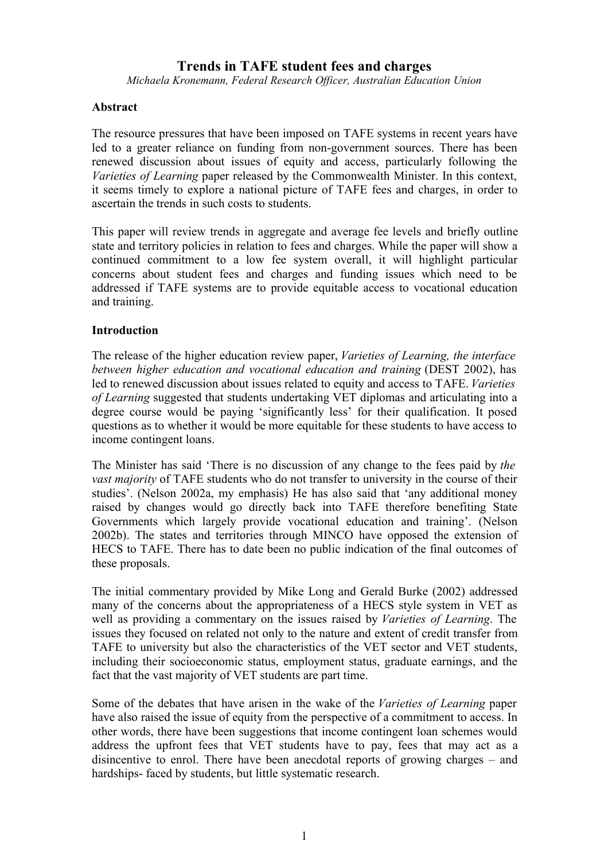# **Trends in TAFE student fees and charges**

*Michaela Kronemann, Federal Research Officer, Australian Education Union*

#### **Abstract**

The resource pressures that have been imposed on TAFE systems in recent years have led to a greater reliance on funding from non-government sources. There has been renewed discussion about issues of equity and access, particularly following the *Varieties of Learning* paper released by the Commonwealth Minister. In this context, it seems timely to explore a national picture of TAFE fees and charges, in order to ascertain the trends in such costs to students.

This paper will review trends in aggregate and average fee levels and briefly outline state and territory policies in relation to fees and charges. While the paper will show a continued commitment to a low fee system overall, it will highlight particular concerns about student fees and charges and funding issues which need to be addressed if TAFE systems are to provide equitable access to vocational education and training.

#### **Introduction**

The release of the higher education review paper, *Varieties of Learning, the interface between higher education and vocational education and training* (DEST 2002), has led to renewed discussion about issues related to equity and access to TAFE. *Varieties of Learning* suggested that students undertaking VET diplomas and articulating into a degree course would be paying 'significantly less' for their qualification. It posed questions as to whether it would be more equitable for these students to have access to income contingent loans.

The Minister has said 'There is no discussion of any change to the fees paid by *the vast majority* of TAFE students who do not transfer to university in the course of their studies'. (Nelson 2002a, my emphasis) He has also said that 'any additional money raised by changes would go directly back into TAFE therefore benefiting State Governments which largely provide vocational education and training'. (Nelson 2002b). The states and territories through MINCO have opposed the extension of HECS to TAFE. There has to date been no public indication of the final outcomes of these proposals.

The initial commentary provided by Mike Long and Gerald Burke (2002) addressed many of the concerns about the appropriateness of a HECS style system in VET as well as providing a commentary on the issues raised by *Varieties of Learning*. The issues they focused on related not only to the nature and extent of credit transfer from TAFE to university but also the characteristics of the VET sector and VET students, including their socioeconomic status, employment status, graduate earnings, and the fact that the vast majority of VET students are part time.

Some of the debates that have arisen in the wake of the *Varieties of Learning* paper have also raised the issue of equity from the perspective of a commitment to access. In other words, there have been suggestions that income contingent loan schemes would address the upfront fees that VET students have to pay, fees that may act as a disincentive to enrol. There have been anecdotal reports of growing charges – and hardships- faced by students, but little systematic research.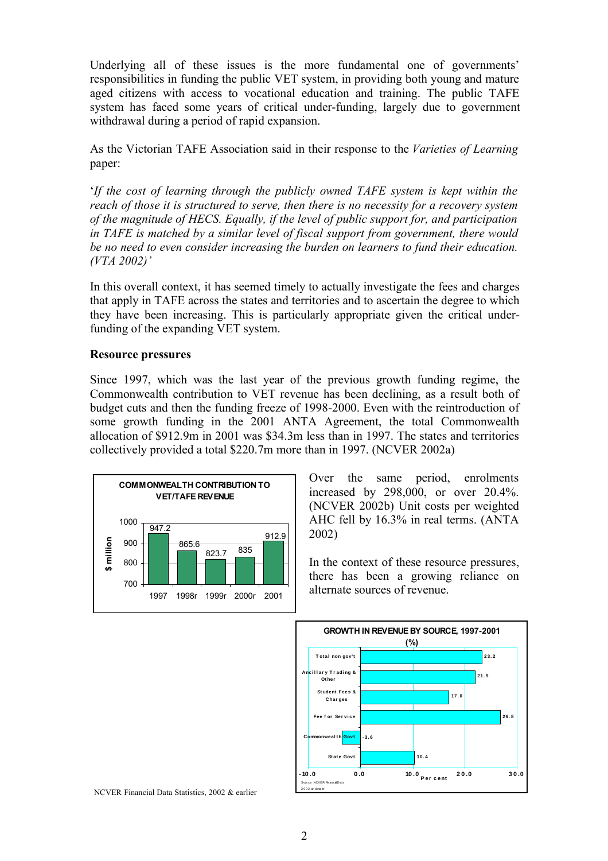Underlying all of these issues is the more fundamental one of governments' responsibilities in funding the public VET system, in providing both young and mature aged citizens with access to vocational education and training. The public TAFE system has faced some years of critical under-funding, largely due to government withdrawal during a period of rapid expansion.

As the Victorian TAFE Association said in their response to the *Varieties of Learning* paper:

'*If the cost of learning through the publicly owned TAFE system is kept within the reach of those it is structured to serve, then there is no necessity for a recovery system of the magnitude of HECS. Equally, if the level of public support for, and participation in TAFE is matched by a similar level of fiscal support from government, there would be no need to even consider increasing the burden on learners to fund their education. (VTA 2002)'*

In this overall context, it has seemed timely to actually investigate the fees and charges that apply in TAFE across the states and territories and to ascertain the degree to which they have been increasing. This is particularly appropriate given the critical underfunding of the expanding VET system.

#### **Resource pressures**

Since 1997, which was the last year of the previous growth funding regime, the Commonwealth contribution to VET revenue has been declining, as a result both of budget cuts and then the funding freeze of 1998-2000. Even with the reintroduction of some growth funding in the 2001 ANTA Agreement, the total Commonwealth allocation of \$912.9m in 2001 was \$34.3m less than in 1997. The states and territories collectively provided a total \$220.7m more than in 1997. (NCVER 2002a)



Over the same period, enrolments increased by 298,000, or over 20.4%. (NCVER 2002b) Unit costs per weighted AHC fell by 16.3% in real terms. (ANTA 2002)

In the context of these resource pressures, there has been a growing reliance on alternate sources of revenue.



NCVER Financial Data Statistics, 2002 & earlier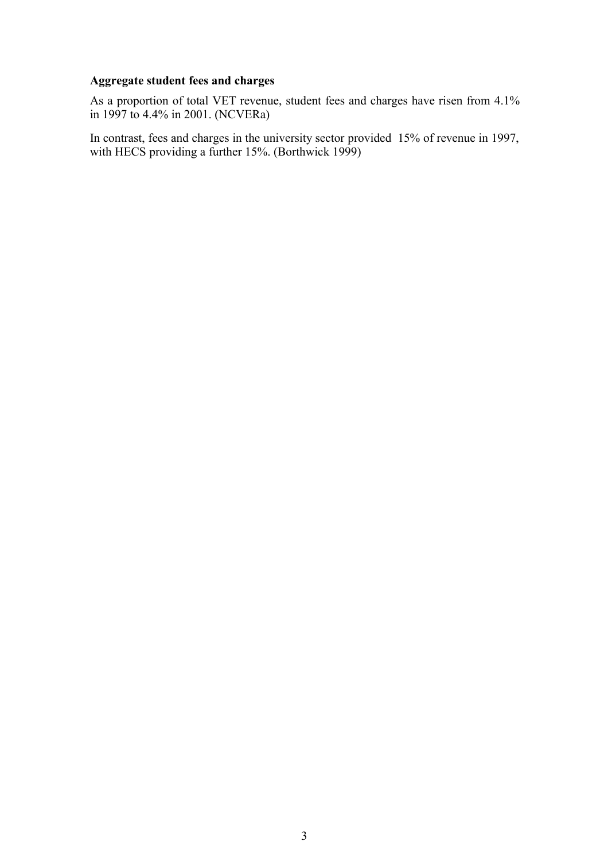# **Aggregate student fees and charges**

As a proportion of total VET revenue, student fees and charges have risen from 4.1% in 1997 to 4.4% in 2001. (NCVERa)

In contrast, fees and charges in the university sector provided 15% of revenue in 1997, with HECS providing a further 15%. (Borthwick 1999)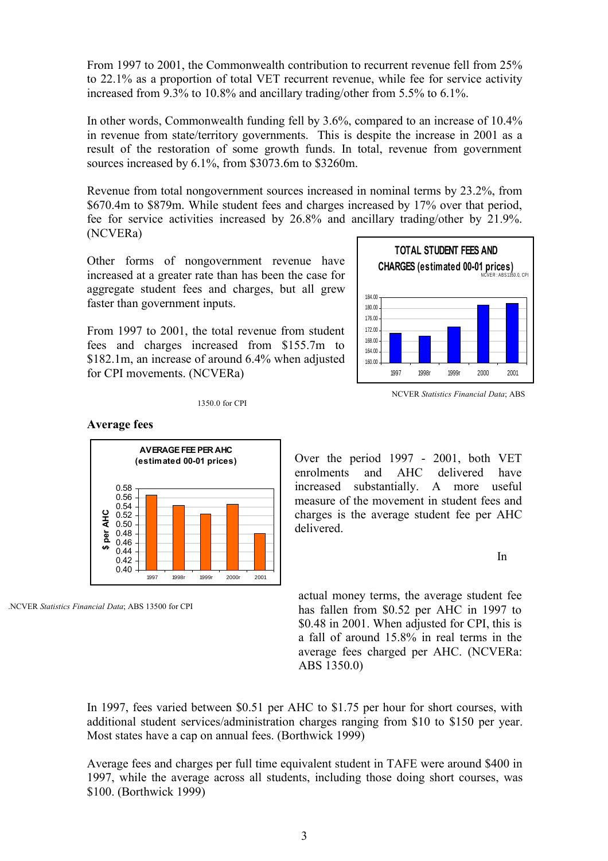From 1997 to 2001, the Commonwealth contribution to recurrent revenue fell from 25% to 22.1% as a proportion of total VET recurrent revenue, while fee for service activity increased from 9.3% to 10.8% and ancillary trading/other from 5.5% to 6.1%.

In other words, Commonwealth funding fell by 3.6%, compared to an increase of 10.4% in revenue from state/territory governments. This is despite the increase in 2001 as a result of the restoration of some growth funds. In total, revenue from government sources increased by 6.1%, from \$3073.6m to \$3260m.

Revenue from total nongovernment sources increased in nominal terms by 23.2%, from \$670.4m to \$879m. While student fees and charges increased by 17% over that period, fee for service activities increased by 26.8% and ancillary trading/other by 21.9%. (NCVERa)

Other forms of nongovernment revenue have increased at a greater rate than has been the case for aggregate student fees and charges, but all grew faster than government inputs.

From 1997 to 2001, the total revenue from student fees and charges increased from \$155.7m to \$182.1m, an increase of around 6.4% when adjusted for CPI movements. (NCVERa)



NCVER *Statistics Financial Data*; ABS

#### 1350.0 for CPI

#### **Average fees**



.NCVER *Statistics Financial Data*; ABS 13500 for CPI

Over the period 1997 - 2001, both VET enrolments and AHC delivered have increased substantially. A more useful measure of the movement in student fees and charges is the average student fee per AHC delivered.

In

actual money terms, the average student fee has fallen from \$0.52 per AHC in 1997 to \$0.48 in 2001. When adjusted for CPI, this is a fall of around 15.8% in real terms in the average fees charged per AHC. (NCVERa: ABS 1350.0)

In 1997, fees varied between \$0.51 per AHC to \$1.75 per hour for short courses, with additional student services/administration charges ranging from \$10 to \$150 per year. Most states have a cap on annual fees. (Borthwick 1999)

Average fees and charges per full time equivalent student in TAFE were around \$400 in 1997, while the average across all students, including those doing short courses, was \$100. (Borthwick 1999)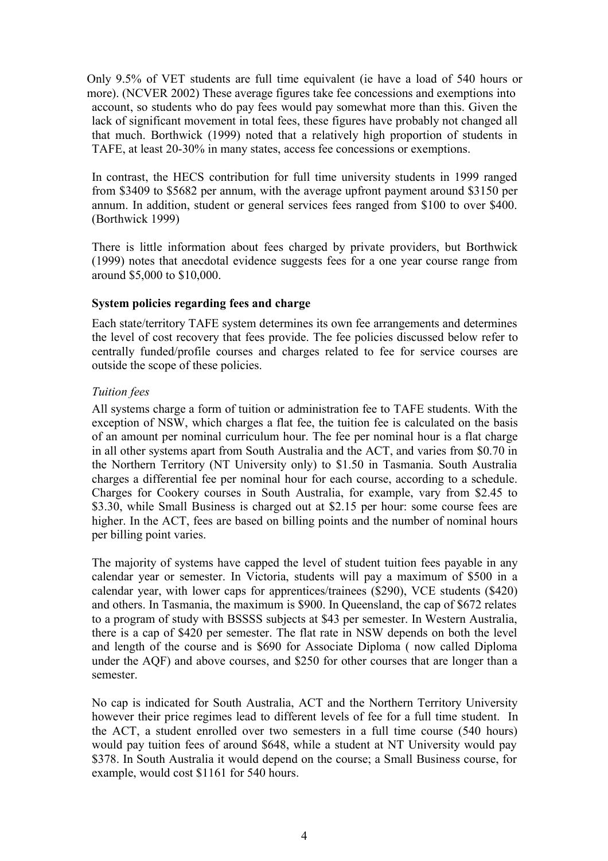Only 9.5% of VET students are full time equivalent (ie have a load of 540 hours or more). (NCVER 2002) These average figures take fee concessions and exemptions into account, so students who do pay fees would pay somewhat more than this. Given the lack of significant movement in total fees, these figures have probably not changed all that much. Borthwick (1999) noted that a relatively high proportion of students in TAFE, at least 20-30% in many states, access fee concessions or exemptions.

In contrast, the HECS contribution for full time university students in 1999 ranged from \$3409 to \$5682 per annum, with the average upfront payment around \$3150 per annum. In addition, student or general services fees ranged from \$100 to over \$400. (Borthwick 1999)

There is little information about fees charged by private providers, but Borthwick (1999) notes that anecdotal evidence suggests fees for a one year course range from around \$5,000 to \$10,000.

## **System policies regarding fees and charge**

Each state/territory TAFE system determines its own fee arrangements and determines the level of cost recovery that fees provide. The fee policies discussed below refer to centrally funded/profile courses and charges related to fee for service courses are outside the scope of these policies.

## *Tuition fees*

All systems charge a form of tuition or administration fee to TAFE students. With the exception of NSW, which charges a flat fee, the tuition fee is calculated on the basis of an amount per nominal curriculum hour. The fee per nominal hour is a flat charge in all other systems apart from South Australia and the ACT, and varies from \$0.70 in the Northern Territory (NT University only) to \$1.50 in Tasmania. South Australia charges a differential fee per nominal hour for each course, according to a schedule. Charges for Cookery courses in South Australia, for example, vary from \$2.45 to \$3.30, while Small Business is charged out at \$2.15 per hour: some course fees are higher. In the ACT, fees are based on billing points and the number of nominal hours per billing point varies.

The majority of systems have capped the level of student tuition fees payable in any calendar year or semester. In Victoria, students will pay a maximum of \$500 in a calendar year, with lower caps for apprentices/trainees (\$290), VCE students (\$420) and others. In Tasmania, the maximum is \$900. In Queensland, the cap of \$672 relates to a program of study with BSSSS subjects at \$43 per semester. In Western Australia, there is a cap of \$420 per semester. The flat rate in NSW depends on both the level and length of the course and is \$690 for Associate Diploma ( now called Diploma under the AQF) and above courses, and \$250 for other courses that are longer than a semester.

No cap is indicated for South Australia, ACT and the Northern Territory University however their price regimes lead to different levels of fee for a full time student. In the ACT, a student enrolled over two semesters in a full time course (540 hours) would pay tuition fees of around \$648, while a student at NT University would pay \$378. In South Australia it would depend on the course; a Small Business course, for example, would cost \$1161 for 540 hours.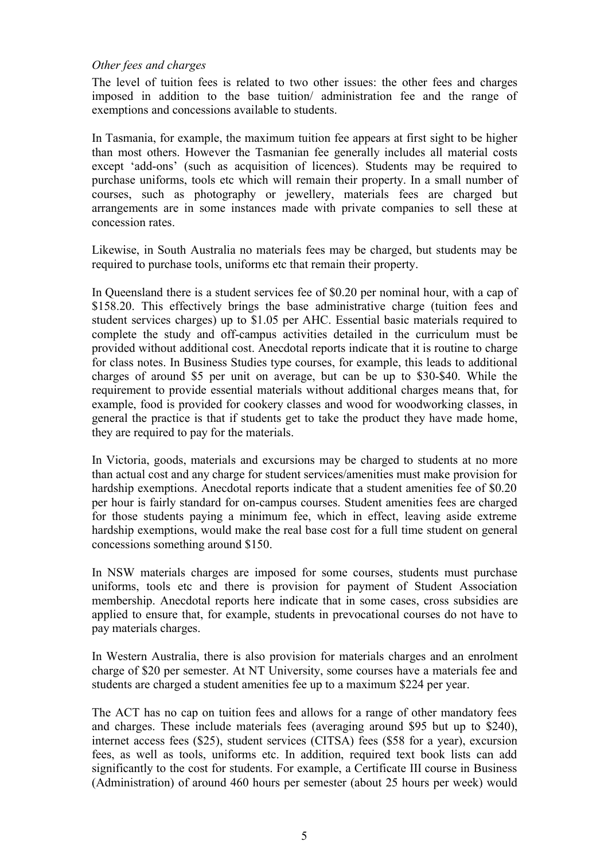## *Other fees and charges*

The level of tuition fees is related to two other issues: the other fees and charges imposed in addition to the base tuition/ administration fee and the range of exemptions and concessions available to students.

In Tasmania, for example, the maximum tuition fee appears at first sight to be higher than most others. However the Tasmanian fee generally includes all material costs except 'add-ons' (such as acquisition of licences). Students may be required to purchase uniforms, tools etc which will remain their property. In a small number of courses, such as photography or jewellery, materials fees are charged but arrangements are in some instances made with private companies to sell these at concession rates.

Likewise, in South Australia no materials fees may be charged, but students may be required to purchase tools, uniforms etc that remain their property.

In Queensland there is a student services fee of \$0.20 per nominal hour, with a cap of \$158.20. This effectively brings the base administrative charge (tuition fees and student services charges) up to \$1.05 per AHC. Essential basic materials required to complete the study and off-campus activities detailed in the curriculum must be provided without additional cost. Anecdotal reports indicate that it is routine to charge for class notes. In Business Studies type courses, for example, this leads to additional charges of around \$5 per unit on average, but can be up to \$30-\$40. While the requirement to provide essential materials without additional charges means that, for example, food is provided for cookery classes and wood for woodworking classes, in general the practice is that if students get to take the product they have made home, they are required to pay for the materials.

In Victoria, goods, materials and excursions may be charged to students at no more than actual cost and any charge for student services/amenities must make provision for hardship exemptions. Anecdotal reports indicate that a student amenities fee of \$0.20 per hour is fairly standard for on-campus courses. Student amenities fees are charged for those students paying a minimum fee, which in effect, leaving aside extreme hardship exemptions, would make the real base cost for a full time student on general concessions something around \$150.

In NSW materials charges are imposed for some courses, students must purchase uniforms, tools etc and there is provision for payment of Student Association membership. Anecdotal reports here indicate that in some cases, cross subsidies are applied to ensure that, for example, students in prevocational courses do not have to pay materials charges.

In Western Australia, there is also provision for materials charges and an enrolment charge of \$20 per semester. At NT University, some courses have a materials fee and students are charged a student amenities fee up to a maximum \$224 per year.

The ACT has no cap on tuition fees and allows for a range of other mandatory fees and charges. These include materials fees (averaging around \$95 but up to \$240), internet access fees (\$25), student services (CITSA) fees (\$58 for a year), excursion fees, as well as tools, uniforms etc. In addition, required text book lists can add significantly to the cost for students. For example, a Certificate III course in Business (Administration) of around 460 hours per semester (about 25 hours per week) would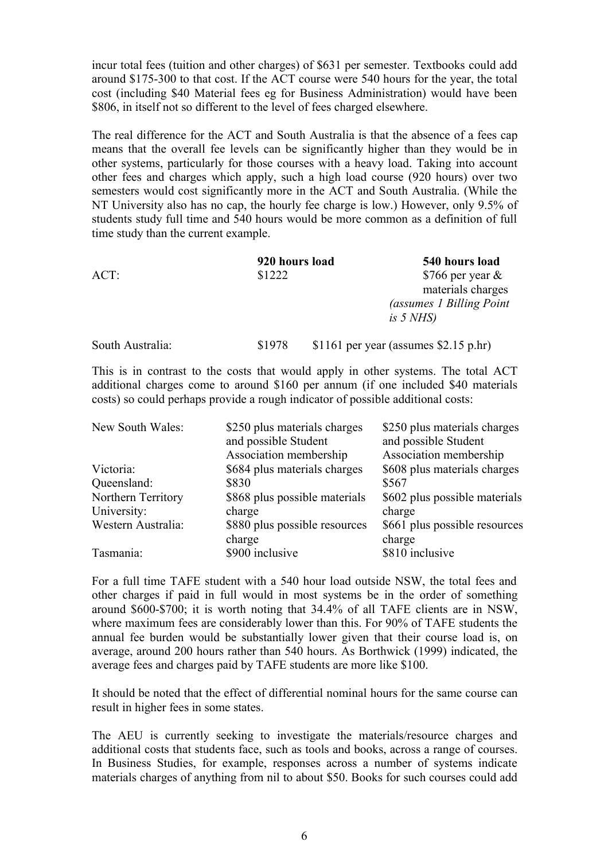incur total fees (tuition and other charges) of \$631 per semester. Textbooks could add around \$175-300 to that cost. If the ACT course were 540 hours for the year, the total cost (including \$40 Material fees eg for Business Administration) would have been \$806, in itself not so different to the level of fees charged elsewhere.

The real difference for the ACT and South Australia is that the absence of a fees cap means that the overall fee levels can be significantly higher than they would be in other systems, particularly for those courses with a heavy load. Taking into account other fees and charges which apply, such a high load course (920 hours) over two semesters would cost significantly more in the ACT and South Australia. (While the NT University also has no cap, the hourly fee charge is low.) However, only 9.5% of students study full time and 540 hours would be more common as a definition of full time study than the current example.

|                  | 920 hours load | 540 hours load                         |  |
|------------------|----------------|----------------------------------------|--|
| ACT:             | \$1222         | \$766 per year $\&$                    |  |
|                  |                | materials charges                      |  |
|                  |                | <i>(assumes 1 Billing Point)</i>       |  |
|                  |                | is $5$ NHS)                            |  |
| South Australia: | \$1978         | $$1161$ per year (assumes \$2.15 p.hr) |  |

This is in contrast to the costs that would apply in other systems. The total ACT additional charges come to around \$160 per annum (if one included \$40 materials costs) so could perhaps provide a rough indicator of possible additional costs:

| New South Wales:   | \$250 plus materials charges<br>and possible Student | \$250 plus materials charges<br>and possible Student |
|--------------------|------------------------------------------------------|------------------------------------------------------|
|                    | Association membership                               | Association membership                               |
| Victoria:          | \$684 plus materials charges                         | \$608 plus materials charges                         |
| Queensland:        | \$830                                                | \$567                                                |
| Northern Territory | \$868 plus possible materials                        | \$602 plus possible materials                        |
| University:        | charge                                               | charge                                               |
| Western Australia: | \$880 plus possible resources                        | \$661 plus possible resources                        |
|                    | charge                                               | charge                                               |
| Tasmania:          | \$900 inclusive                                      | \$810 inclusive                                      |

For a full time TAFE student with a 540 hour load outside NSW, the total fees and other charges if paid in full would in most systems be in the order of something around \$600-\$700; it is worth noting that 34.4% of all TAFE clients are in NSW, where maximum fees are considerably lower than this. For 90% of TAFE students the annual fee burden would be substantially lower given that their course load is, on average, around 200 hours rather than 540 hours. As Borthwick (1999) indicated, the average fees and charges paid by TAFE students are more like \$100.

It should be noted that the effect of differential nominal hours for the same course can result in higher fees in some states.

The AEU is currently seeking to investigate the materials/resource charges and additional costs that students face, such as tools and books, across a range of courses. In Business Studies, for example, responses across a number of systems indicate materials charges of anything from nil to about \$50. Books for such courses could add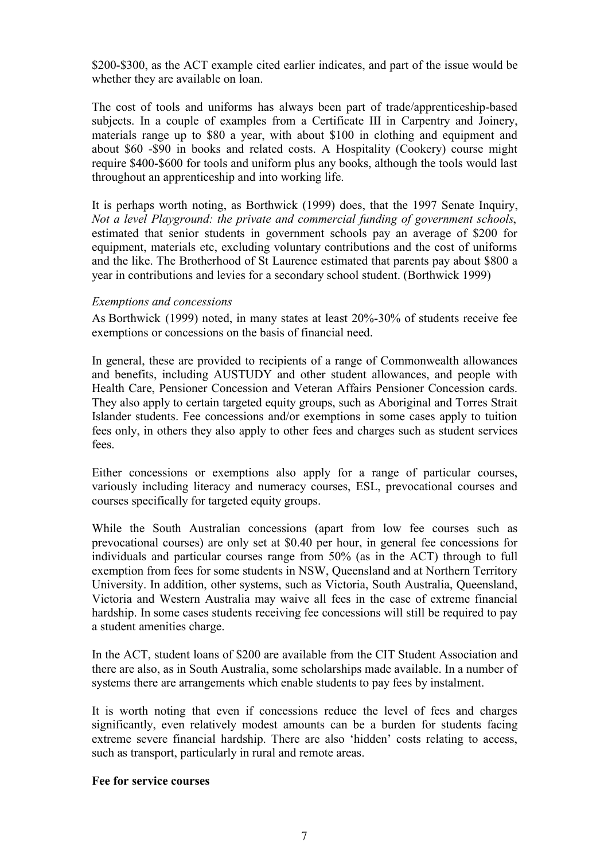\$200-\$300, as the ACT example cited earlier indicates, and part of the issue would be whether they are available on loan.

The cost of tools and uniforms has always been part of trade/apprenticeship-based subjects. In a couple of examples from a Certificate III in Carpentry and Joinery, materials range up to \$80 a year, with about \$100 in clothing and equipment and about \$60 -\$90 in books and related costs. A Hospitality (Cookery) course might require \$400-\$600 for tools and uniform plus any books, although the tools would last throughout an apprenticeship and into working life.

It is perhaps worth noting, as Borthwick (1999) does, that the 1997 Senate Inquiry, *Not a level Playground: the private and commercial funding of government schools*, estimated that senior students in government schools pay an average of \$200 for equipment, materials etc, excluding voluntary contributions and the cost of uniforms and the like. The Brotherhood of St Laurence estimated that parents pay about \$800 a year in contributions and levies for a secondary school student. (Borthwick 1999)

#### *Exemptions and concessions*

As Borthwick (1999) noted, in many states at least 20%-30% of students receive fee exemptions or concessions on the basis of financial need.

In general, these are provided to recipients of a range of Commonwealth allowances and benefits, including AUSTUDY and other student allowances, and people with Health Care, Pensioner Concession and Veteran Affairs Pensioner Concession cards. They also apply to certain targeted equity groups, such as Aboriginal and Torres Strait Islander students. Fee concessions and/or exemptions in some cases apply to tuition fees only, in others they also apply to other fees and charges such as student services fees.

Either concessions or exemptions also apply for a range of particular courses, variously including literacy and numeracy courses, ESL, prevocational courses and courses specifically for targeted equity groups.

While the South Australian concessions (apart from low fee courses such as prevocational courses) are only set at \$0.40 per hour, in general fee concessions for individuals and particular courses range from 50% (as in the ACT) through to full exemption from fees for some students in NSW, Queensland and at Northern Territory University. In addition, other systems, such as Victoria, South Australia, Queensland, Victoria and Western Australia may waive all fees in the case of extreme financial hardship. In some cases students receiving fee concessions will still be required to pay a student amenities charge.

In the ACT, student loans of \$200 are available from the CIT Student Association and there are also, as in South Australia, some scholarships made available. In a number of systems there are arrangements which enable students to pay fees by instalment.

It is worth noting that even if concessions reduce the level of fees and charges significantly, even relatively modest amounts can be a burden for students facing extreme severe financial hardship. There are also 'hidden' costs relating to access, such as transport, particularly in rural and remote areas.

#### **Fee for service courses**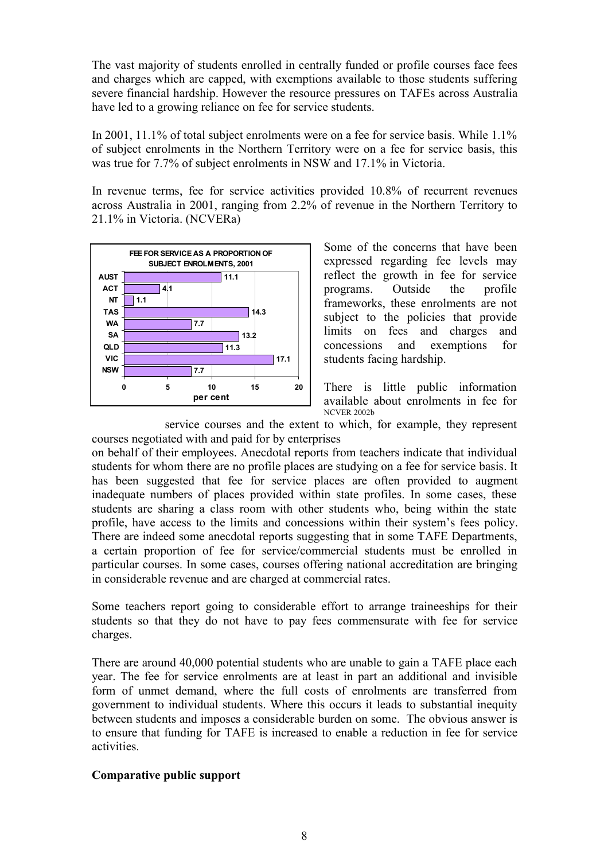The vast majority of students enrolled in centrally funded or profile courses face fees and charges which are capped, with exemptions available to those students suffering severe financial hardship. However the resource pressures on TAFEs across Australia have led to a growing reliance on fee for service students.

In 2001, 11.1% of total subject enrolments were on a fee for service basis. While 1.1% of subject enrolments in the Northern Territory were on a fee for service basis, this was true for 7.7% of subject enrolments in NSW and 17.1% in Victoria.

In revenue terms, fee for service activities provided 10.8% of recurrent revenues across Australia in 2001, ranging from 2.2% of revenue in the Northern Territory to 21.1% in Victoria. (NCVERa)



Some of the concerns that have been expressed regarding fee levels may reflect the growth in fee for service programs. Outside the profile frameworks, these enrolments are not subject to the policies that provide limits on fees and charges and concessions and exemptions for students facing hardship.

There is little public information available about enrolments in fee for NCVER 2002b

service courses and the extent to which, for example, they represent courses negotiated with and paid for by enterprises

on behalf of their employees. Anecdotal reports from teachers indicate that individual students for whom there are no profile places are studying on a fee for service basis. It has been suggested that fee for service places are often provided to augment inadequate numbers of places provided within state profiles. In some cases, these students are sharing a class room with other students who, being within the state profile, have access to the limits and concessions within their system's fees policy. There are indeed some anecdotal reports suggesting that in some TAFE Departments, a certain proportion of fee for service/commercial students must be enrolled in particular courses. In some cases, courses offering national accreditation are bringing in considerable revenue and are charged at commercial rates.

Some teachers report going to considerable effort to arrange traineeships for their students so that they do not have to pay fees commensurate with fee for service charges.

There are around 40,000 potential students who are unable to gain a TAFE place each year. The fee for service enrolments are at least in part an additional and invisible form of unmet demand, where the full costs of enrolments are transferred from government to individual students. Where this occurs it leads to substantial inequity between students and imposes a considerable burden on some. The obvious answer is to ensure that funding for TAFE is increased to enable a reduction in fee for service activities.

#### **Comparative public support**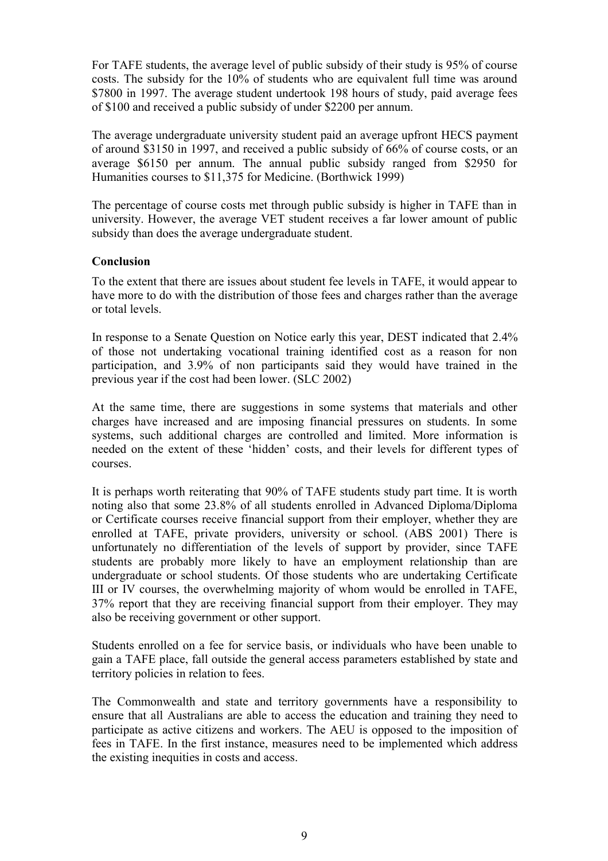For TAFE students, the average level of public subsidy of their study is 95% of course costs. The subsidy for the 10% of students who are equivalent full time was around \$7800 in 1997. The average student undertook 198 hours of study, paid average fees of \$100 and received a public subsidy of under \$2200 per annum.

The average undergraduate university student paid an average upfront HECS payment of around \$3150 in 1997, and received a public subsidy of 66% of course costs, or an average \$6150 per annum. The annual public subsidy ranged from \$2950 for Humanities courses to \$11,375 for Medicine. (Borthwick 1999)

The percentage of course costs met through public subsidy is higher in TAFE than in university. However, the average VET student receives a far lower amount of public subsidy than does the average undergraduate student.

## **Conclusion**

To the extent that there are issues about student fee levels in TAFE, it would appear to have more to do with the distribution of those fees and charges rather than the average or total levels.

In response to a Senate Question on Notice early this year, DEST indicated that 2.4% of those not undertaking vocational training identified cost as a reason for non participation, and 3.9% of non participants said they would have trained in the previous year if the cost had been lower. (SLC 2002)

At the same time, there are suggestions in some systems that materials and other charges have increased and are imposing financial pressures on students. In some systems, such additional charges are controlled and limited. More information is needed on the extent of these 'hidden' costs, and their levels for different types of courses.

It is perhaps worth reiterating that 90% of TAFE students study part time. It is worth noting also that some 23.8% of all students enrolled in Advanced Diploma/Diploma or Certificate courses receive financial support from their employer, whether they are enrolled at TAFE, private providers, university or school. (ABS 2001) There is unfortunately no differentiation of the levels of support by provider, since TAFE students are probably more likely to have an employment relationship than are undergraduate or school students. Of those students who are undertaking Certificate III or IV courses, the overwhelming majority of whom would be enrolled in TAFE, 37% report that they are receiving financial support from their employer. They may also be receiving government or other support.

Students enrolled on a fee for service basis, or individuals who have been unable to gain a TAFE place, fall outside the general access parameters established by state and territory policies in relation to fees.

The Commonwealth and state and territory governments have a responsibility to ensure that all Australians are able to access the education and training they need to participate as active citizens and workers. The AEU is opposed to the imposition of fees in TAFE. In the first instance, measures need to be implemented which address the existing inequities in costs and access.